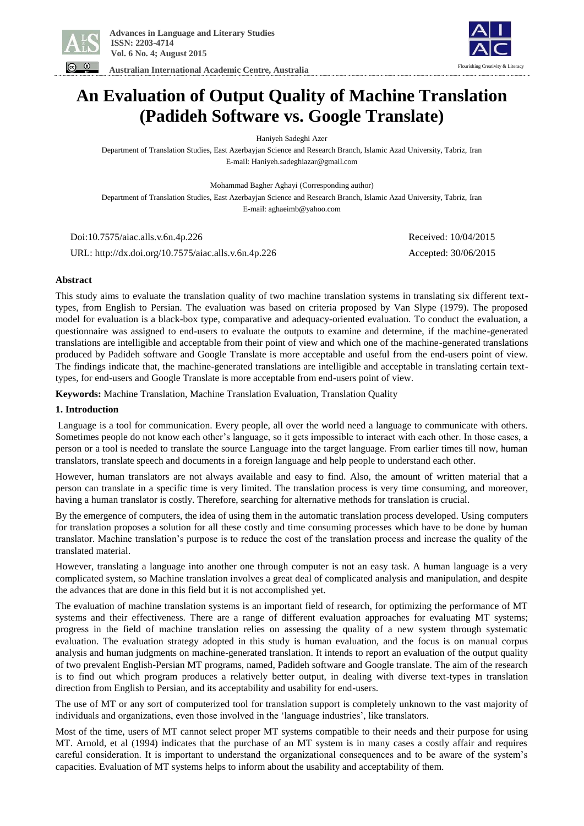

 **Australian International Academic Centre, Australia** 



# **An Evaluation of Output Quality of Machine Translation (Padideh Software vs. Google Translate)**

Haniyeh Sadeghi Azer

Department of Translation Studies, East Azerbayjan Science and Research Branch, Islamic Azad University, Tabriz, Iran E-mail: Haniyeh.sadeghiazar@gmail.com

Mohammad Bagher Aghayi (Corresponding author)

Department of Translation Studies, East Azerbayjan Science and Research Branch, Islamic Azad University, Tabriz, Iran E-mail: aghaeimb@yahoo.com

Doi:10.7575/aiac.alls.v.6n.4p.226 Received: 10/04/2015

URL: http://dx.doi.org/10.7575/aiac.alls.v.6n.4p.226 Accepted: 30/06/2015

**Abstract**

This study aims to evaluate the translation quality of two machine translation systems in translating six different texttypes, from English to Persian. The evaluation was based on criteria proposed by Van Slype (1979). The proposed model for evaluation is a black-box type, comparative and adequacy-oriented evaluation. To conduct the evaluation, a questionnaire was assigned to end-users to evaluate the outputs to examine and determine, if the machine-generated translations are intelligible and acceptable from their point of view and which one of the machine-generated translations produced by Padideh software and Google Translate is more acceptable and useful from the end-users point of view. The findings indicate that, the machine-generated translations are intelligible and acceptable in translating certain texttypes, for end-users and Google Translate is more acceptable from end-users point of view.

**Keywords:** Machine Translation, Machine Translation Evaluation, Translation Quality

#### **1. Introduction**

Language is a tool for communication. Every people, all over the world need a language to communicate with others. Sometimes people do not know each other's language, so it gets impossible to interact with each other. In those cases, a person or a tool is needed to translate the source Language into the target language. From earlier times till now, human translators, translate speech and documents in a foreign language and help people to understand each other.

However, human translators are not always available and easy to find. Also, the amount of written material that a person can translate in a specific time is very limited. The translation process is very time consuming, and moreover, having a human translator is costly. Therefore, searching for alternative methods for translation is crucial.

By the emergence of computers, the idea of using them in the automatic translation process developed. Using computers for translation proposes a solution for all these costly and time consuming processes which have to be done by human translator. Machine translation's purpose is to reduce the cost of the translation process and increase the quality of the translated material.

However, translating a language into another one through computer is not an easy task. A human language is a very complicated system, so Machine translation involves a great deal of complicated analysis and manipulation, and despite the advances that are done in this field but it is not accomplished yet.

The evaluation of machine translation systems is an important field of research, for optimizing the performance of MT systems and their effectiveness. There are a range of different evaluation approaches for evaluating MT systems; progress in the field of machine translation relies on assessing the quality of a new system through systematic evaluation. The evaluation strategy adopted in this study is human evaluation, and the focus is on manual corpus analysis and human judgments on machine-generated translation. It intends to report an evaluation of the output quality of two prevalent English-Persian MT programs, named, Padideh software and Google translate. The aim of the research is to find out which program produces a relatively better output, in dealing with diverse text-types in translation direction from English to Persian, and its acceptability and usability for end-users.

The use of MT or any sort of computerized tool for translation support is completely unknown to the vast majority of individuals and organizations, even those involved in the 'language industries', like translators.

Most of the time, users of MT cannot select proper MT systems compatible to their needs and their purpose for using MT. Arnold, et al (1994) indicates that the purchase of an MT system is in many cases a costly affair and requires careful consideration. It is important to understand the organizational consequences and to be aware of the system's capacities. Evaluation of MT systems helps to inform about the usability and acceptability of them.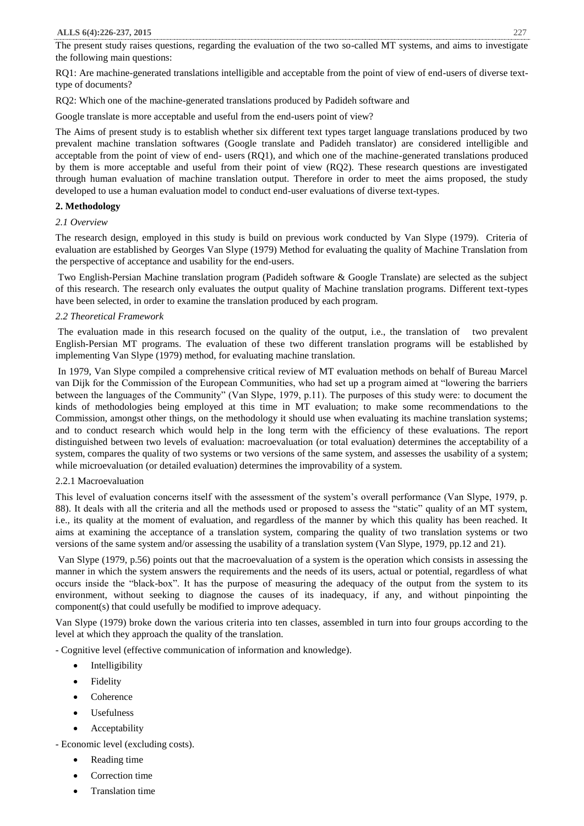The present study raises questions, regarding the evaluation of the two so-called MT systems, and aims to investigate the following main questions:

RQ1: Are machine-generated translations intelligible and acceptable from the point of view of end-users of diverse texttype of documents?

RQ2: Which one of the machine-generated translations produced by Padideh software and

Google translate is more acceptable and useful from the end-users point of view?

The Aims of present study is to establish whether six different text types target language translations produced by two prevalent machine translation softwares (Google translate and Padideh translator) are considered intelligible and acceptable from the point of view of end- users (RQ1), and which one of the machine-generated translations produced by them is more acceptable and useful from their point of view (RQ2). These research questions are investigated through human evaluation of machine translation output. Therefore in order to meet the aims proposed, the study developed to use a human evaluation model to conduct end-user evaluations of diverse text-types.

#### **2. Methodology**

#### *2.1 Overview*

The research design, employed in this study is build on previous work conducted by Van Slype (1979). Criteria of evaluation are established by Georges Van Slype (1979) Method for evaluating the quality of Machine Translation from the perspective of acceptance and usability for the end-users.

Two English-Persian Machine translation program (Padideh software & Google Translate) are selected as the subject of this research. The research only evaluates the output quality of Machine translation programs. Different text-types have been selected, in order to examine the translation produced by each program.

# *2.2 Theoretical Framework*

The evaluation made in this research focused on the quality of the output, i.e., the translation of two prevalent English-Persian MT programs. The evaluation of these two different translation programs will be established by implementing Van Slype (1979) method, for evaluating machine translation.

In 1979, Van Slype compiled a comprehensive critical review of MT evaluation methods on behalf of Bureau Marcel van Dijk for the Commission of the European Communities, who had set up a program aimed at "lowering the barriers between the languages of the Community" (Van Slype, 1979, p.11). The purposes of this study were: to document the kinds of methodologies being employed at this time in MT evaluation; to make some recommendations to the Commission, amongst other things, on the methodology it should use when evaluating its machine translation systems; and to conduct research which would help in the long term with the efficiency of these evaluations. The report distinguished between two levels of evaluation: macroevaluation (or total evaluation) determines the acceptability of a system, compares the quality of two systems or two versions of the same system, and assesses the usability of a system; while microevaluation (or detailed evaluation) determines the improvability of a system.

# 2.2.1 Macroevaluation

This level of evaluation concerns itself with the assessment of the system's overall performance (Van Slype, 1979, p. 88). It deals with all the criteria and all the methods used or proposed to assess the "static" quality of an MT system, i.e., its quality at the moment of evaluation, and regardless of the manner by which this quality has been reached. It aims at examining the acceptance of a translation system, comparing the quality of two translation systems or two versions of the same system and/or assessing the usability of a translation system (Van Slype, 1979, pp.12 and 21).

Van Slype (1979, p.56) points out that the macroevaluation of a system is the operation which consists in assessing the manner in which the system answers the requirements and the needs of its users, actual or potential, regardless of what occurs inside the "black-box". It has the purpose of measuring the adequacy of the output from the system to its environment, without seeking to diagnose the causes of its inadequacy, if any, and without pinpointing the component(s) that could usefully be modified to improve adequacy.

Van Slype (1979) broke down the various criteria into ten classes, assembled in turn into four groups according to the level at which they approach the quality of the translation.

- Cognitive level (effective communication of information and knowledge).

- Intelligibility
- Fidelity
- Coherence
- Usefulness
- Acceptability

- Economic level (excluding costs).

- Reading time
- Correction time
- Translation time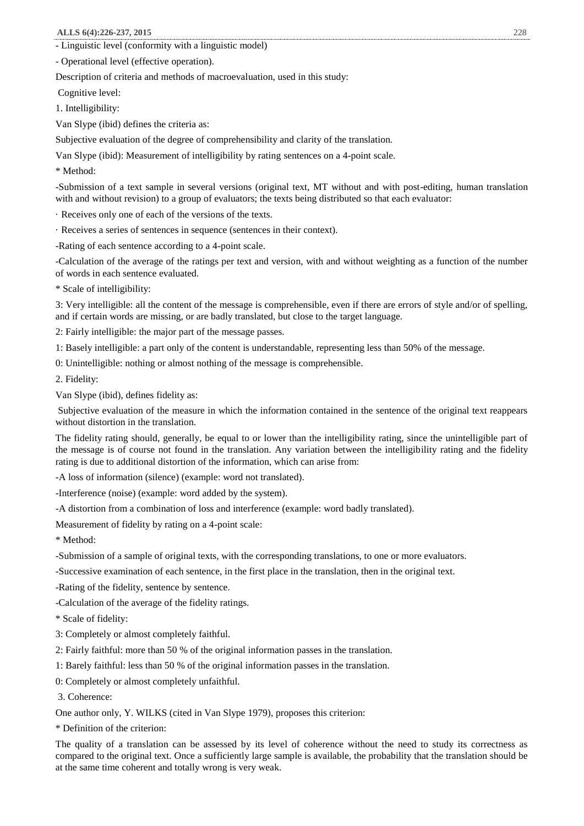- Linguistic level (conformity with a linguistic model)

- Operational level (effective operation).

Description of criteria and methods of macroevaluation, used in this study:

Cognitive level:

1. Intelligibility:

Van Slype (ibid) defines the criteria as:

Subjective evaluation of the degree of comprehensibility and clarity of the translation.

Van Slype (ibid): Measurement of intelligibility by rating sentences on a 4-point scale.

\* Method:

-Submission of a text sample in several versions (original text, MT without and with post-editing, human translation with and without revision) to a group of evaluators; the texts being distributed so that each evaluator:

· Receives only one of each of the versions of the texts.

· Receives a series of sentences in sequence (sentences in their context).

-Rating of each sentence according to a 4-point scale.

-Calculation of the average of the ratings per text and version, with and without weighting as a function of the number of words in each sentence evaluated.

\* Scale of intelligibility:

3: Very intelligible: all the content of the message is comprehensible, even if there are errors of style and/or of spelling, and if certain words are missing, or are badly translated, but close to the target language.

2: Fairly intelligible: the major part of the message passes.

1: Basely intelligible: a part only of the content is understandable, representing less than 50% of the message.

0: Unintelligible: nothing or almost nothing of the message is comprehensible.

2. Fidelity:

Van Slype (ibid), defines fidelity as:

Subjective evaluation of the measure in which the information contained in the sentence of the original text reappears without distortion in the translation.

The fidelity rating should, generally, be equal to or lower than the intelligibility rating, since the unintelligible part of the message is of course not found in the translation. Any variation between the intelligibility rating and the fidelity rating is due to additional distortion of the information, which can arise from:

-A loss of information (silence) (example: word not translated).

-Interference (noise) (example: word added by the system).

-A distortion from a combination of loss and interference (example: word badly translated).

Measurement of fidelity by rating on a 4-point scale:

\* Method:

-Submission of a sample of original texts, with the corresponding translations, to one or more evaluators.

-Successive examination of each sentence, in the first place in the translation, then in the original text.

-Rating of the fidelity, sentence by sentence.

-Calculation of the average of the fidelity ratings.

\* Scale of fidelity:

3: Completely or almost completely faithful.

2: Fairly faithful: more than 50 % of the original information passes in the translation.

1: Barely faithful: less than 50 % of the original information passes in the translation.

0: Completely or almost completely unfaithful.

3. Coherence:

One author only, Y. WILKS (cited in Van Slype 1979), proposes this criterion:

\* Definition of the criterion:

The quality of a translation can be assessed by its level of coherence without the need to study its correctness as compared to the original text. Once a sufficiently large sample is available, the probability that the translation should be at the same time coherent and totally wrong is very weak.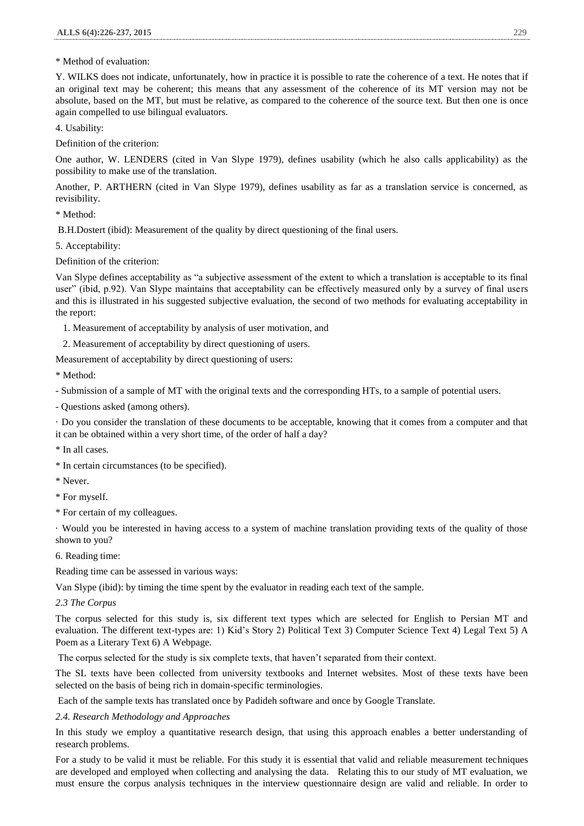# \* Method of evaluation:

Y. WILKS does not indicate, unfortunately, how in practice it is possible to rate the coherence of a text. He notes that if an original text may be coherent; this means that any assessment of the coherence of its MT version may not be absolute, based on the MT, but must be relative, as compared to the coherence of the source text. But then one is once again compelled to use bilingual evaluators.

4. Usability:

Definition of the criterion:

One author, W. LENDERS (cited in Van Slype 1979), defines usability (which he also calls applicability) as the possibility to make use of the translation.

Another, P. ARTHERN (cited in Van Slype 1979), defines usability as far as a translation service is concerned, as revisibility.

\* Method:

B.H.Dostert (ibid): Measurement of the quality by direct questioning of the final users.

5. Acceptability:

Definition of the criterion:

Van Slype defines acceptability as "a subjective assessment of the extent to which a translation is acceptable to its final user" (ibid, p.92). Van Slype maintains that acceptability can be effectively measured only by a survey of final users and this is illustrated in his suggested subjective evaluation, the second of two methods for evaluating acceptability in the report:

1. Measurement of acceptability by analysis of user motivation, and

2. Measurement of acceptability by direct questioning of users.

Measurement of acceptability by direct questioning of users:

\* Method:

- Submission of a sample of MT with the original texts and the corresponding HTs, to a sample of potential users.

- Questions asked (among others).

· Do you consider the translation of these documents to be acceptable, knowing that it comes from a computer and that it can be obtained within a very short time, of the order of half a day?

- \* In all cases.
- \* In certain circumstances (to be specified).
- \* Never.
- \* For myself.
- \* For certain of my colleagues.

· Would you be interested in having access to a system of machine translation providing texts of the quality of those shown to you?

6. Reading time:

Reading time can be assessed in various ways:

Van Slype (ibid): by timing the time spent by the evaluator in reading each text of the sample.

*2.3 The Corpus*

The corpus selected for this study is, six different text types which are selected for English to Persian MT and evaluation. The different text-types are: 1) Kid's Story 2) Political Text 3) Computer Science Text 4) Legal Text 5) A Poem as a Literary Text 6) A Webpage.

The corpus selected for the study is six complete texts, that haven't separated from their context.

The SL texts have been collected from university textbooks and Internet websites. Most of these texts have been selected on the basis of being rich in domain-specific terminologies.

Each of the sample texts has translated once by Padideh software and once by Google Translate.

# *2.4. Research Methodology and Approaches*

In this study we employ a quantitative research design, that using this approach enables a better understanding of research problems.

For a study to be valid it must be reliable. For this study it is essential that valid and reliable measurement techniques are developed and employed when collecting and analysing the data. Relating this to our study of MT evaluation, we must ensure the corpus analysis techniques in the interview questionnaire design are valid and reliable. In order to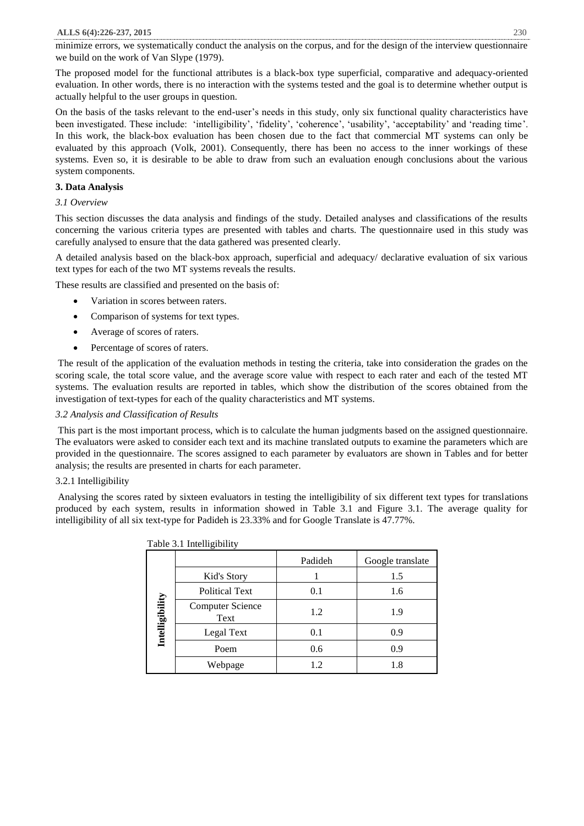minimize errors, we systematically conduct the analysis on the corpus, and for the design of the interview questionnaire we build on the work of Van Slype (1979).

The proposed model for the functional attributes is a black-box type superficial, comparative and adequacy-oriented evaluation. In other words, there is no interaction with the systems tested and the goal is to determine whether output is actually helpful to the user groups in question.

On the basis of the tasks relevant to the end-user's needs in this study, only six functional quality characteristics have been investigated. These include: 'intelligibility', 'fidelity', 'coherence', 'usability', 'acceptability' and 'reading time'. In this work, the black-box evaluation has been chosen due to the fact that commercial MT systems can only be evaluated by this approach (Volk, 2001). Consequently, there has been no access to the inner workings of these systems. Even so, it is desirable to be able to draw from such an evaluation enough conclusions about the various system components.

# **3. Data Analysis**

# *3.1 Overview*

This section discusses the data analysis and findings of the study. Detailed analyses and classifications of the results concerning the various criteria types are presented with tables and charts. The questionnaire used in this study was carefully analysed to ensure that the data gathered was presented clearly.

A detailed analysis based on the black-box approach, superficial and adequacy/ declarative evaluation of six various text types for each of the two MT systems reveals the results.

These results are classified and presented on the basis of:

- Variation in scores between raters.
- Comparison of systems for text types.
- Average of scores of raters.
- Percentage of scores of raters.

The result of the application of the evaluation methods in testing the criteria, take into consideration the grades on the scoring scale, the total score value, and the average score value with respect to each rater and each of the tested MT systems. The evaluation results are reported in tables, which show the distribution of the scores obtained from the investigation of text-types for each of the quality characteristics and MT systems.

# *3.2 Analysis and Classification of Results*

This part is the most important process, which is to calculate the human judgments based on the assigned questionnaire. The evaluators were asked to consider each text and its machine translated outputs to examine the parameters which are provided in the questionnaire. The scores assigned to each parameter by evaluators are shown in Tables and for better analysis; the results are presented in charts for each parameter.

# 3.2.1 Intelligibility

Analysing the scores rated by sixteen evaluators in testing the intelligibility of six different text types for translations produced by each system, results in information showed in Table 3.1 and Figure 3.1. The average quality for intelligibility of all six text-type for Padideh is 23.33% and for Google Translate is 47.77%.

|                 | <b>Table 3.1 Interngrouply</b>  |         |                  |
|-----------------|---------------------------------|---------|------------------|
|                 |                                 | Padideh | Google translate |
|                 | Kid's Story                     |         | 1.5              |
|                 | <b>Political Text</b>           | 0.1     | 1.6              |
| Intelligibility | <b>Computer Science</b><br>Text | 1.2     | 1.9              |
|                 | Legal Text                      | 0.1     | 0.9              |
|                 | Poem                            | 0.6     | 0.9              |
|                 | Webpage                         | 1.2     | 1.8              |

Table 3.1 Intelligibility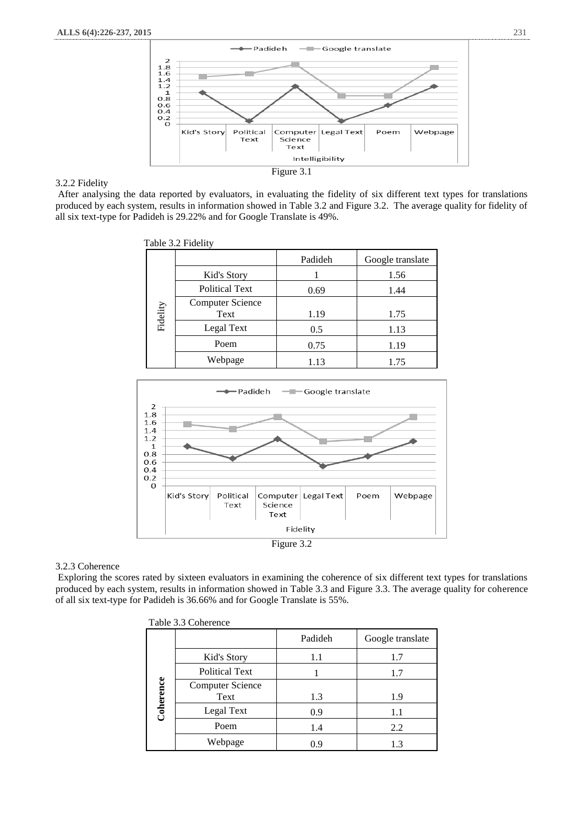

# 3.2.2 Fidelity

After analysing the data reported by evaluators, in evaluating the fidelity of six different text types for translations produced by each system, results in information showed in Table 3.2 and Figure 3.2. The average quality for fidelity of all six text-type for Padideh is 29.22% and for Google Translate is 49%.

|          | Table 3.2 Fidelity              |         |                  |
|----------|---------------------------------|---------|------------------|
|          |                                 | Padideh | Google translate |
|          | Kid's Story                     |         | 1.56             |
|          | <b>Political Text</b>           | 0.69    | 1.44             |
| Fidelity | <b>Computer Science</b><br>Text | 1.19    | 1.75             |
|          | Legal Text                      | 0.5     | 1.13             |
|          | Poem                            | 0.75    | 1.19             |
|          | Webpage                         | 1.13    | 1.75             |



#### 3.2.3 Coherence

Exploring the scores rated by sixteen evaluators in examining the coherence of six different text types for translations produced by each system, results in information showed in Table 3.3 and Figure 3.3. The average quality for coherence of all six text-type for Padideh is 36.66% and for Google Translate is 55%.

|           | Table 3.3 Coherence     |         |                  |
|-----------|-------------------------|---------|------------------|
|           |                         | Padideh | Google translate |
|           | Kid's Story             | 1.1     | 1.7              |
|           | <b>Political Text</b>   |         | 1.7              |
|           | <b>Computer Science</b> |         |                  |
|           | Text                    | 1.3     | 1.9              |
| Coherence | Legal Text              | 0.9     | 1.1              |
|           | Poem                    | 1.4     | 2.2              |
|           | Webpage                 | 0.9     | 1.3              |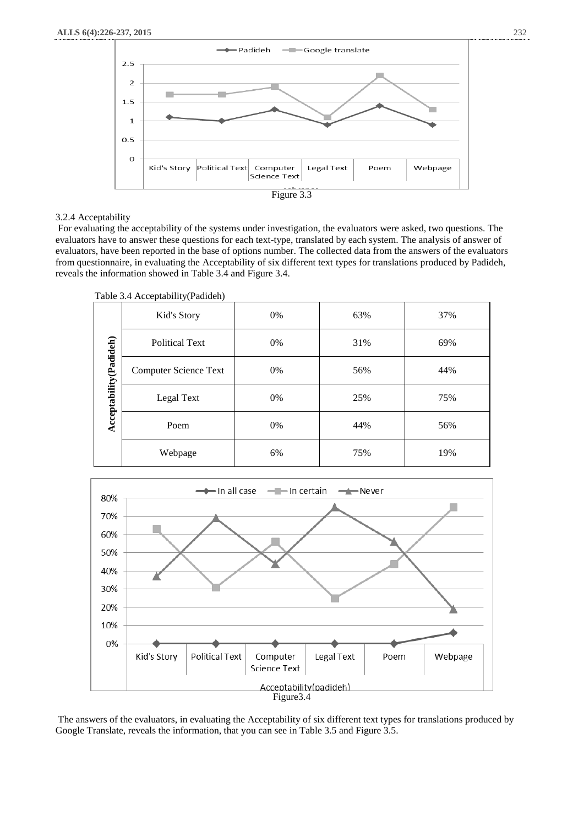

#### 3.2.4 Acceptability

For evaluating the acceptability of the systems under investigation, the evaluators were asked, two questions. The evaluators have to answer these questions for each text-type, translated by each system. The analysis of answer of evaluators, have been reported in the base of options number. The collected data from the answers of the evaluators from questionnaire, in evaluating the Acceptability of six different text types for translations produced by Padideh, reveals the information showed in Table 3.4 and Figure 3.4.

Table 3.4 Acceptability(Padideh)

|                         | 1000                         |    |     |     |
|-------------------------|------------------------------|----|-----|-----|
|                         | Kid's Story                  | 0% | 63% | 37% |
|                         | <b>Political Text</b>        | 0% | 31% | 69% |
|                         | <b>Computer Science Text</b> | 0% | 56% | 44% |
| Acceptability (Padideh) | Legal Text                   | 0% | 25% | 75% |
|                         | Poem                         | 0% | 44% | 56% |
|                         | Webpage                      | 6% | 75% | 19% |



The answers of the evaluators, in evaluating the Acceptability of six different text types for translations produced by Google Translate, reveals the information, that you can see in Table 3.5 and Figure 3.5.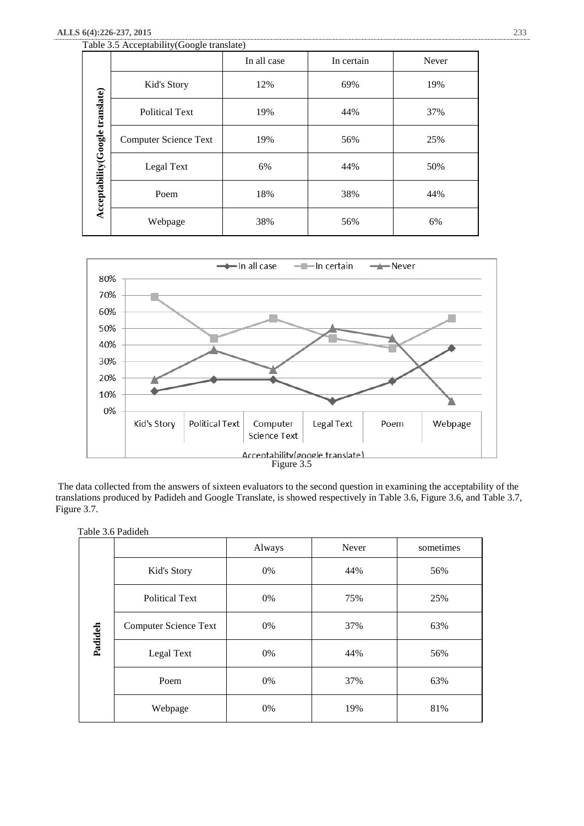# **ALLS 6(4):226-237, 2015** 233

|                                 | Table 3.5 Acceptability (Google translate) |             |            |       |
|---------------------------------|--------------------------------------------|-------------|------------|-------|
|                                 |                                            | In all case | In certain | Never |
|                                 | Kid's Story                                | 12%         | 69%        | 19%   |
|                                 | <b>Political Text</b>                      | 19%         | 44%        | 37%   |
| Acceptability(Google translate) | <b>Computer Science Text</b>               | 19%         | 56%        | 25%   |
|                                 | Legal Text                                 | 6%          | 44%        | 50%   |
|                                 | Poem                                       | 18%         | 38%        | 44%   |
|                                 | Webpage                                    | 38%         | 56%        | 6%    |



The data collected from the answers of sixteen evaluators to the second question in examining the acceptability of the translations produced by Padideh and Google Translate, is showed respectively in Table 3.6, Figure 3.6, and Table 3.7, Figure 3.7.

|         |                              | Always | <b>Never</b> | sometimes |
|---------|------------------------------|--------|--------------|-----------|
|         | Kid's Story                  | 0%     | 44%          | 56%       |
|         | <b>Political Text</b>        | 0%     | 75%          | 25%       |
|         | <b>Computer Science Text</b> | 0%     | 37%          | 63%       |
| Padideh | Legal Text                   | 0%     | 44%          | 56%       |
|         | Poem                         | 0%     | 37%          | 63%       |
|         | Webpage                      | 0%     | 19%          | 81%       |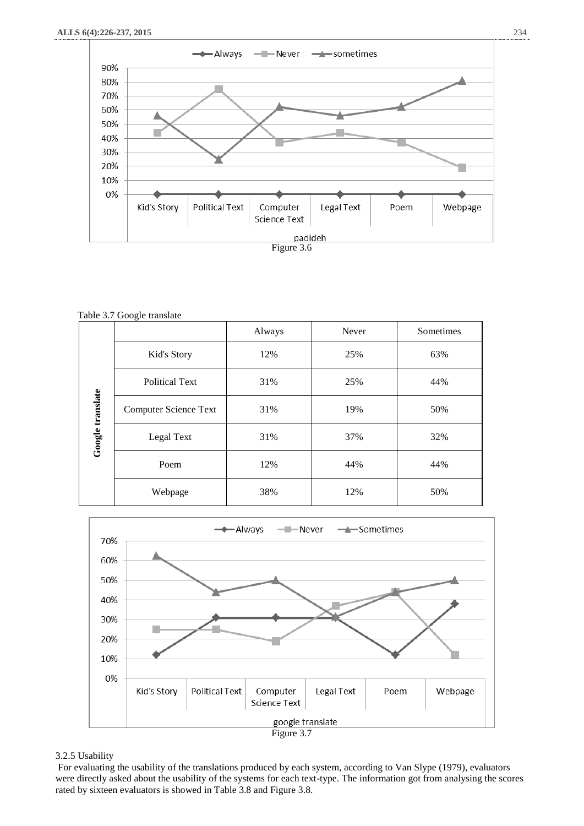

Table 3.7 Google translate

|                  |                              | Always | Never | Sometimes |
|------------------|------------------------------|--------|-------|-----------|
|                  | Kid's Story                  | 12%    | 25%   | 63%       |
|                  | <b>Political Text</b>        | 31%    | 25%   | 44%       |
|                  | <b>Computer Science Text</b> | 31%    | 19%   | 50%       |
| Google translate | Legal Text                   | 31%    | 37%   | 32%       |
|                  | Poem                         | 12%    | 44%   | 44%       |
|                  | Webpage                      | 38%    | 12%   | 50%       |



# 3.2.5 Usability

For evaluating the usability of the translations produced by each system, according to Van Slype (1979), evaluators were directly asked about the usability of the systems for each text-type. The information got from analysing the scores rated by sixteen evaluators is showed in Table 3.8 and Figure 3.8.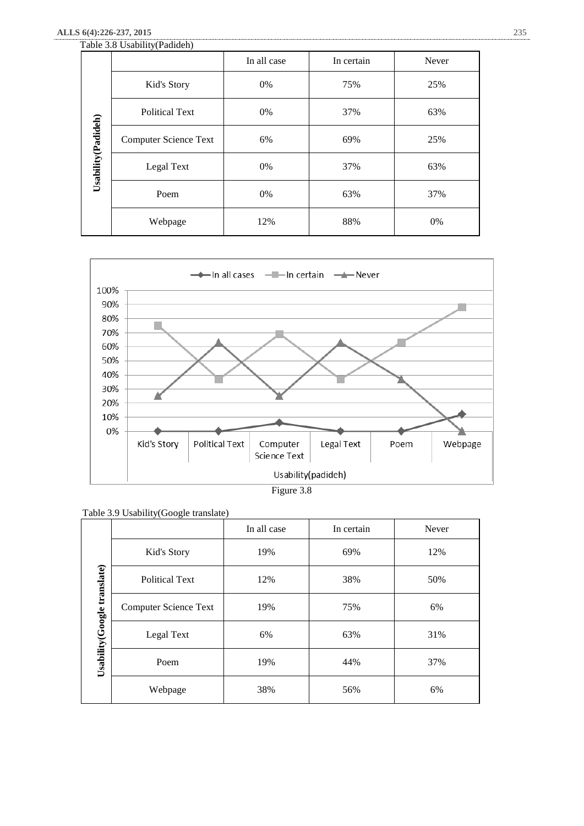# **ALLS 6(4):226-237, 2015** 235

|                     | Table 3.8 Usability (Padideh) |             |            |       |
|---------------------|-------------------------------|-------------|------------|-------|
|                     |                               | In all case | In certain | Never |
|                     | Kid's Story                   | 0%          | 75%        | 25%   |
|                     | <b>Political Text</b>         | 0%          | 37%        | 63%   |
| Usability (Padideh) | <b>Computer Science Text</b>  | 6%          | 69%        | 25%   |
|                     | Legal Text                    | 0%          | 37%        | 63%   |
|                     | Poem                          | 0%          | 63%        | 37%   |
|                     | Webpage                       | 12%         | 88%        | 0%    |



Figure 3.8

|                                 |                              | In all case | In certain | Never |
|---------------------------------|------------------------------|-------------|------------|-------|
| translate)<br>Usability (Google | Kid's Story                  | 19%         | 69%        | 12%   |
|                                 | <b>Political Text</b>        | 12%         | 38%        | 50%   |
|                                 | <b>Computer Science Text</b> | 19%         | 75%        | 6%    |
|                                 | Legal Text                   | 6%          | 63%        | 31%   |
|                                 | Poem                         | 19%         | 44%        | 37%   |
|                                 | Webpage                      | 38%         | 56%        | 6%    |

| Table 3.9 Usability (Google translate) |
|----------------------------------------|
|----------------------------------------|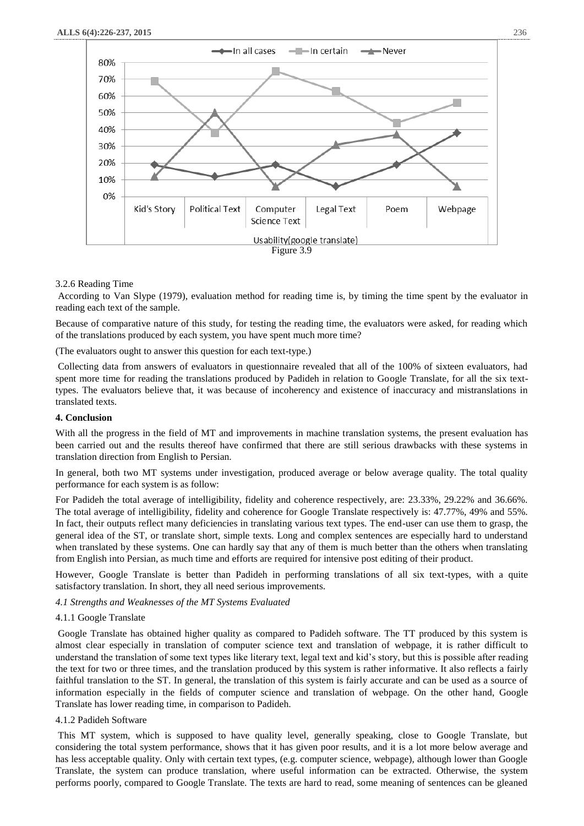

# 3.2.6 Reading Time

According to Van Slype (1979), evaluation method for reading time is, by timing the time spent by the evaluator in reading each text of the sample.

Because of comparative nature of this study, for testing the reading time, the evaluators were asked, for reading which of the translations produced by each system, you have spent much more time?

(The evaluators ought to answer this question for each text-type.)

Collecting data from answers of evaluators in questionnaire revealed that all of the 100% of sixteen evaluators, had spent more time for reading the translations produced by Padideh in relation to Google Translate, for all the six texttypes. The evaluators believe that, it was because of incoherency and existence of inaccuracy and mistranslations in translated texts.

#### **4. Conclusion**

With all the progress in the field of MT and improvements in machine translation systems, the present evaluation has been carried out and the results thereof have confirmed that there are still serious drawbacks with these systems in translation direction from English to Persian.

In general, both two MT systems under investigation, produced average or below average quality. The total quality performance for each system is as follow:

For Padideh the total average of intelligibility, fidelity and coherence respectively, are: 23.33%, 29.22% and 36.66%. The total average of intelligibility, fidelity and coherence for Google Translate respectively is: 47.77%, 49% and 55%. In fact, their outputs reflect many deficiencies in translating various text types. The end-user can use them to grasp, the general idea of the ST, or translate short, simple texts. Long and complex sentences are especially hard to understand when translated by these systems. One can hardly say that any of them is much better than the others when translating from English into Persian, as much time and efforts are required for intensive post editing of their product.

However, Google Translate is better than Padideh in performing translations of all six text-types, with a quite satisfactory translation. In short, they all need serious improvements.

*4.1 Strengths and Weaknesses of the MT Systems Evaluated*

#### 4.1.1 Google Translate

Google Translate has obtained higher quality as compared to Padideh software. The TT produced by this system is almost clear especially in translation of computer science text and translation of webpage, it is rather difficult to understand the translation of some text types like literary text, legal text and kid's story, but this is possible after reading the text for two or three times, and the translation produced by this system is rather informative. It also reflects a fairly faithful translation to the ST. In general, the translation of this system is fairly accurate and can be used as a source of information especially in the fields of computer science and translation of webpage. On the other hand, Google Translate has lower reading time, in comparison to Padideh.

#### 4.1.2 Padideh Software

This MT system, which is supposed to have quality level, generally speaking, close to Google Translate, but considering the total system performance, shows that it has given poor results, and it is a lot more below average and has less acceptable quality. Only with certain text types, (e.g. computer science, webpage), although lower than Google Translate, the system can produce translation, where useful information can be extracted. Otherwise, the system performs poorly, compared to Google Translate. The texts are hard to read, some meaning of sentences can be gleaned